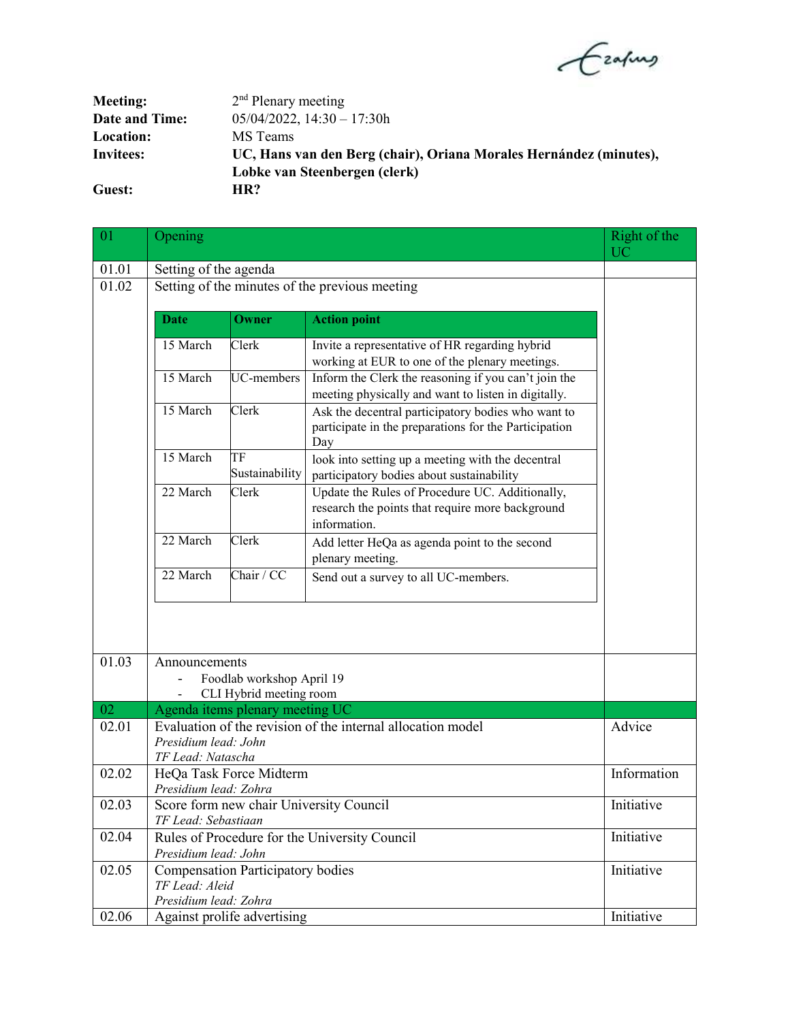Ezapus

| Meeting:       | $2nd$ Plenary meeting                                              |
|----------------|--------------------------------------------------------------------|
| Date and Time: | $05/04/2022$ , $14:30 - 17:30h$                                    |
| Location:      | MS Teams                                                           |
| Invitees:      | UC, Hans van den Berg (chair), Oriana Morales Hernández (minutes), |
|                | Lobke van Steenbergen (clerk)                                      |
| Guest:         | HR?                                                                |

| 01    | Opening                                                                                                  | Right of the<br><b>UC</b>       |                                                                                                                     |             |  |  |
|-------|----------------------------------------------------------------------------------------------------------|---------------------------------|---------------------------------------------------------------------------------------------------------------------|-------------|--|--|
| 01.01 | Setting of the agenda                                                                                    |                                 |                                                                                                                     |             |  |  |
| 01.02 |                                                                                                          |                                 | Setting of the minutes of the previous meeting                                                                      |             |  |  |
|       |                                                                                                          |                                 |                                                                                                                     |             |  |  |
|       | <b>Date</b>                                                                                              | <b>Owner</b>                    | <b>Action point</b>                                                                                                 |             |  |  |
|       | 15 March                                                                                                 | Clerk                           | Invite a representative of HR regarding hybrid<br>working at EUR to one of the plenary meetings.                    |             |  |  |
|       | 15 March                                                                                                 | UC-members                      | Inform the Clerk the reasoning if you can't join the<br>meeting physically and want to listen in digitally.         |             |  |  |
|       | 15 March                                                                                                 | Clerk                           | Ask the decentral participatory bodies who want to<br>participate in the preparations for the Participation<br>Day  |             |  |  |
|       | 15 March                                                                                                 | TF<br>Sustainability            | look into setting up a meeting with the decentral<br>participatory bodies about sustainability                      |             |  |  |
|       | 22 March                                                                                                 | Clerk                           | Update the Rules of Procedure UC. Additionally,<br>research the points that require more background<br>information. |             |  |  |
|       | 22 March                                                                                                 | Clerk                           | Add letter HeQa as agenda point to the second<br>plenary meeting.                                                   |             |  |  |
|       | 22 March                                                                                                 | Chair / $\overline{CC}$         | Send out a survey to all UC-members.                                                                                |             |  |  |
|       |                                                                                                          |                                 |                                                                                                                     |             |  |  |
| 01.03 | Announcements                                                                                            |                                 |                                                                                                                     |             |  |  |
|       | Foodlab workshop April 19                                                                                |                                 |                                                                                                                     |             |  |  |
| 02    | CLI Hybrid meeting room<br>$\blacksquare$                                                                |                                 |                                                                                                                     |             |  |  |
| 02.01 |                                                                                                          | Agenda items plenary meeting UC |                                                                                                                     | Advice      |  |  |
|       | Evaluation of the revision of the internal allocation model<br>Presidium lead: John<br>TF Lead: Natascha |                                 |                                                                                                                     |             |  |  |
| 02.02 | HeQa Task Force Midterm<br>Presidium lead: Zohra                                                         |                                 |                                                                                                                     | Information |  |  |
| 02.03 | Score form new chair University Council<br>TF Lead: Sebastiaan                                           | Initiative                      |                                                                                                                     |             |  |  |
| 02.04 | Rules of Procedure for the University Council<br>Presidium lead: John                                    | Initiative                      |                                                                                                                     |             |  |  |
| 02.05 | <b>Compensation Participatory bodies</b><br>TF Lead: Aleid<br>Presidium lead: Zohra                      | Initiative                      |                                                                                                                     |             |  |  |
| 02.06 | Against prolife advertising                                                                              | Initiative                      |                                                                                                                     |             |  |  |